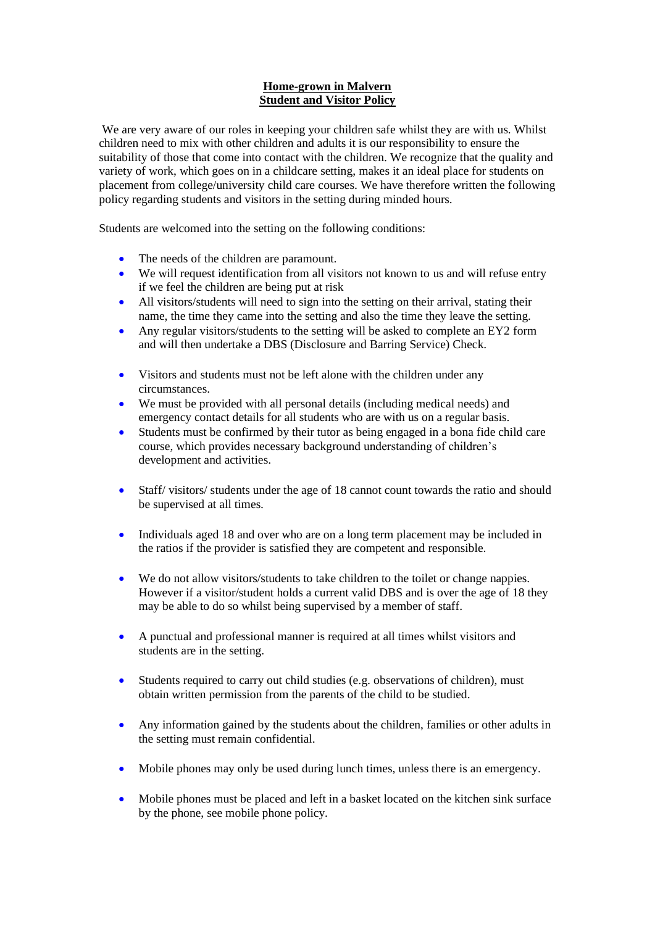## **Home-grown in Malvern Student and Visitor Policy**

We are very aware of our roles in keeping your children safe whilst they are with us. Whilst children need to mix with other children and adults it is our responsibility to ensure the suitability of those that come into contact with the children. We recognize that the quality and variety of work, which goes on in a childcare setting, makes it an ideal place for students on placement from college/university child care courses. We have therefore written the following policy regarding students and visitors in the setting during minded hours.

Students are welcomed into the setting on the following conditions:

- The needs of the children are paramount.
- We will request identification from all visitors not known to us and will refuse entry if we feel the children are being put at risk
- All visitors/students will need to sign into the setting on their arrival, stating their name, the time they came into the setting and also the time they leave the setting.
- Any regular visitors/students to the setting will be asked to complete an EY2 form and will then undertake a DBS (Disclosure and Barring Service) Check.
- Visitors and students must not be left alone with the children under any circumstances.
- We must be provided with all personal details (including medical needs) and emergency contact details for all students who are with us on a regular basis.
- Students must be confirmed by their tutor as being engaged in a bona fide child care course, which provides necessary background understanding of children's development and activities.
- Staff/ visitors/ students under the age of 18 cannot count towards the ratio and should be supervised at all times.
- Individuals aged 18 and over who are on a long term placement may be included in the ratios if the provider is satisfied they are competent and responsible.
- We do not allow visitors/students to take children to the toilet or change nappies. However if a visitor/student holds a current valid DBS and is over the age of 18 they may be able to do so whilst being supervised by a member of staff.
- A punctual and professional manner is required at all times whilst visitors and students are in the setting.
- Students required to carry out child studies (e.g. observations of children), must obtain written permission from the parents of the child to be studied.
- Any information gained by the students about the children, families or other adults in the setting must remain confidential.
- Mobile phones may only be used during lunch times, unless there is an emergency.
- Mobile phones must be placed and left in a basket located on the kitchen sink surface by the phone, see mobile phone policy.